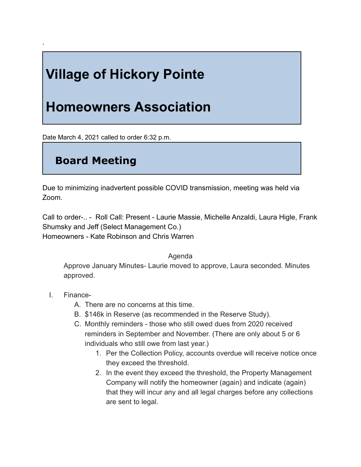## **Village of Hickory Pointe**

## **Homeowners Association**

Date March 4, 2021 called to order 6:32 p.m.

## **Board Meeting**

Due to minimizing inadvertent possible COVID transmission, meeting was held via Zoom.

Call to order-.. - Roll Call: Present - Laurie Massie, Michelle Anzaldi, Laura Higle, Frank Shumsky and Jeff (Select Management Co.) Homeowners - Kate Robinson and Chris Warren

Agenda

Approve January Minutes- Laurie moved to approve, Laura seconded. Minutes approved.

I. Finance-

`

- A. There are no concerns at this time.
- B. \$146k in Reserve (as recommended in the Reserve Study).
- C. Monthly reminders those who still owed dues from 2020 received reminders in September and November. (There are only about 5 or 6 individuals who still owe from last year.)
	- 1. Per the Collection Policy, accounts overdue will receive notice once they exceed the threshold.
	- 2. In the event they exceed the threshold, the Property Management Company will notify the homeowner (again) and indicate (again) that they will incur any and all legal charges before any collections are sent to legal.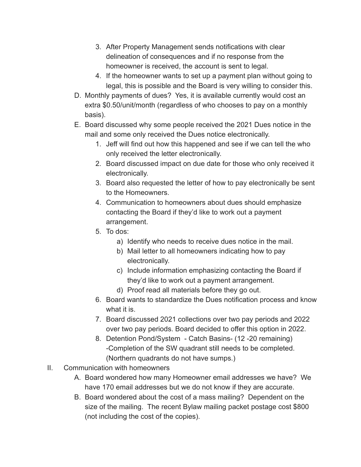- 3. After Property Management sends notifications with clear delineation of consequences and if no response from the homeowner is received, the account is sent to legal.
- 4. If the homeowner wants to set up a payment plan without going to legal, this is possible and the Board is very willing to consider this.
- D. Monthly payments of dues? Yes, it is available currently would cost an extra \$0.50/unit/month (regardless of who chooses to pay on a monthly basis).
- E. Board discussed why some people received the 2021 Dues notice in the mail and some only received the Dues notice electronically.
	- 1. Jeff will find out how this happened and see if we can tell the who only received the letter electronically.
	- 2. Board discussed impact on due date for those who only received it electronically.
	- 3. Board also requested the letter of how to pay electronically be sent to the Homeowners.
	- 4. Communication to homeowners about dues should emphasize contacting the Board if they'd like to work out a payment arrangement.
	- 5. To dos:
		- a) Identify who needs to receive dues notice in the mail.
		- b) Mail letter to all homeowners indicating how to pay electronically.
		- c) Include information emphasizing contacting the Board if they'd like to work out a payment arrangement.
		- d) Proof read all materials before they go out.
	- 6. Board wants to standardize the Dues notification process and know what it is.
	- 7. Board discussed 2021 collections over two pay periods and 2022 over two pay periods. Board decided to offer this option in 2022.
	- 8. Detention Pond/System Catch Basins- (12 -20 remaining) -Completion of the SW quadrant still needs to be completed. (Northern quadrants do not have sumps.)
- II. Communication with homeowners
	- A. Board wondered how many Homeowner email addresses we have? We have 170 email addresses but we do not know if they are accurate.
	- B. Board wondered about the cost of a mass mailing? Dependent on the size of the mailing. The recent Bylaw mailing packet postage cost \$800 (not including the cost of the copies).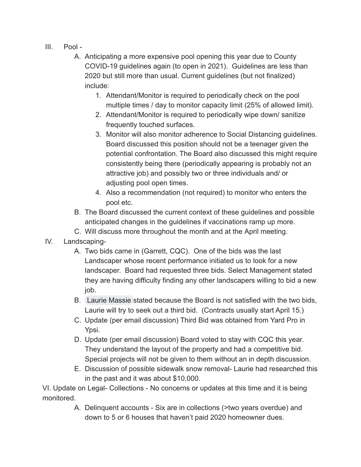- III. Pool -
	- A. Anticipating a more expensive pool opening this year due to County COVID-19 guidelines again (to open in 2021). Guidelines are less than 2020 but still more than usual. Current guidelines (but not finalized) include:
		- 1. Attendant/Monitor is required to periodically check on the pool multiple times / day to monitor capacity limit (25% of allowed limit).
		- 2. Attendant/Monitor is required to periodically wipe down/ sanitize frequently touched surfaces.
		- 3. Monitor will also monitor adherence to Social Distancing guidelines. Board discussed this position should not be a teenager given the potential confrontation. The Board also discussed this might require consistently being there (periodically appearing is probably not an attractive job) and possibly two or three individuals and/ or adjusting pool open times.
		- 4. Also a recommendation (not required) to monitor who enters the pool etc.
	- B. The Board discussed the current context of these guidelines and possible anticipated changes in the guidelines if vaccinations ramp up more.
	- C. Will discuss more throughout the month and at the April meeting.
- IV. Landscaping-
	- A. Two bids came in (Garrett, CQC). One of the bids was the last Landscaper whose recent performance initiated us to look for a new landscaper. Board had requested three bids. Select Management stated they are having difficulty finding any other landscapers willing to bid a new job.
	- B. [Laurie Massie](mailto:laurie@hickorypointesub.com) stated because the Board is not satisfied with the two bids, Laurie will try to seek out a third bid. (Contracts usually start April 15.)
	- C. Update (per email discussion) Third Bid was obtained from Yard Pro in Ypsi.
	- D. Update (per email discussion) Board voted to stay with CQC this year. They understand the layout of the property and had a competitive bid. Special projects will not be given to them without an in depth discussion.
	- E. Discussion of possible sidewalk snow removal- Laurie had researched this in the past and it was about \$10,000.

VI. Update on Legal- Collections - No concerns or updates at this time and it is being monitored.

> A. Delinquent accounts - Six are in collections (>two years overdue) and down to 5 or 6 houses that haven't paid 2020 homeowner dues.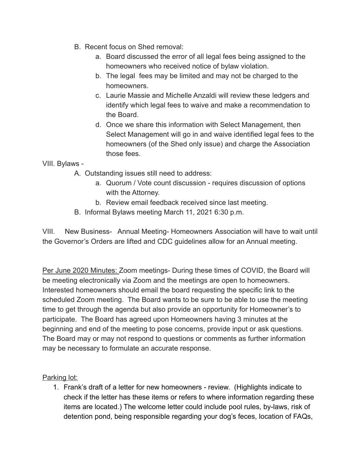- B. Recent focus on Shed removal:
	- a. Board discussed the error of all legal fees being assigned to the homeowners who received notice of bylaw violation.
	- b. The legal fees may be limited and may not be charged to the homeowners.
	- c. Laurie Massie and Michelle Anzaldi will review these ledgers and identify which legal fees to waive and make a recommendation to the Board.
	- d. Once we share this information with Select Management, then Select Management will go in and waive identified legal fees to the homeowners (of the Shed only issue) and charge the Association those fees.

VIII. Bylaws -

- A. Outstanding issues still need to address:
	- a. Quorum / Vote count discussion requires discussion of options with the Attorney.
	- b. Review email feedback received since last meeting.
- B. Informal Bylaws meeting March 11, 2021 6:30 p.m.

VIII. New Business- Annual Meeting- Homeowners Association will have to wait until the Governor's Orders are lifted and CDC guidelines allow for an Annual meeting.

Per June 2020 Minutes: Zoom meetings- During these times of COVID, the Board will be meeting electronically via Zoom and the meetings are open to homeowners. Interested homeowners should email the board requesting the specific link to the scheduled Zoom meeting. The Board wants to be sure to be able to use the meeting time to get through the agenda but also provide an opportunity for Homeowner's to participate. The Board has agreed upon Homeowners having 3 minutes at the beginning and end of the meeting to pose concerns, provide input or ask questions. The Board may or may not respond to questions or comments as further information may be necessary to formulate an accurate response.

Parking lot:

1. Frank's draft of a letter for new homeowners - review. (Highlights indicate to check if the letter has these items or refers to where information regarding these items are located.) The welcome letter could include pool rules, by-laws, risk of detention pond, being responsible regarding your dog's feces, location of FAQs,